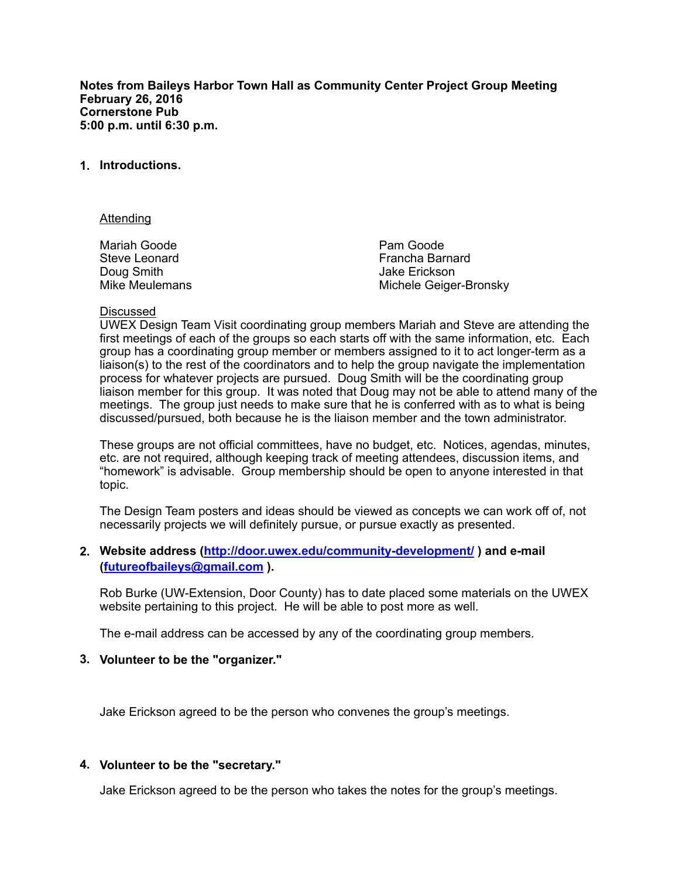**Notes from Baileys Harbor Town Hall as Community Center Project Group Meeting February 26, 2016 Cornerstone Pub 5:00 p.m. until 6:30 p.m.** 

## **1. Introductions.**

#### Attending

Mariah Goode Steve Leonard Doug Smith Mike Meulemans Pam Goode Francha Barnard Jake Erickson Michele Geiger-Bronsky

#### Discussed

UWEX Design Team Visit coordinating group members Mariah and Steve are attending the first meetings of each of the groups so each starts off with the same information, etc. Each group has a coordinating group member or members assigned to it to act longer-term as a liaison(s) to the rest of the coordinators and to help the group navigate the implementation process for whatever projects are pursued. Doug Smith will be the coordinating group liaison member for this group. It was noted that Doug may not be able to attend many of the meetings. The group just needs to make sure that he is conferred with as to what is being discussed/pursued, both because he is the liaison member and the town administrator.

These groups are not official committees, have no budget, etc. Notices, agendas, minutes, etc. are not required, although keeping track of meeting attendees, discussion items, and "homework" is advisable. Group membership should be open to anyone interested in that topic.

The Design Team posters and ideas should be viewed as concepts we can work off of, not necessarily projects we will definitely pursue, or pursue exactly as presented.

# **2. Website address (<http://door.uwex.edu/community-development/>) and e-mail ([futureofbaileys@gmail.com](mailto:futureofbaileys@gmail.com) ).**

Rob Burke (UW-Extension, Door County) has to date placed some materials on the UWEX website pertaining to this project. He will be able to post more as well.

The e-mail address can be accessed by any of the coordinating group members.

### **3. Volunteer to be the "organizer."**

Jake Erickson agreed to be the person who convenes the group's meetings.

### **4. Volunteer to be the "secretary."**

Jake Erickson agreed to be the person who takes the notes for the group's meetings.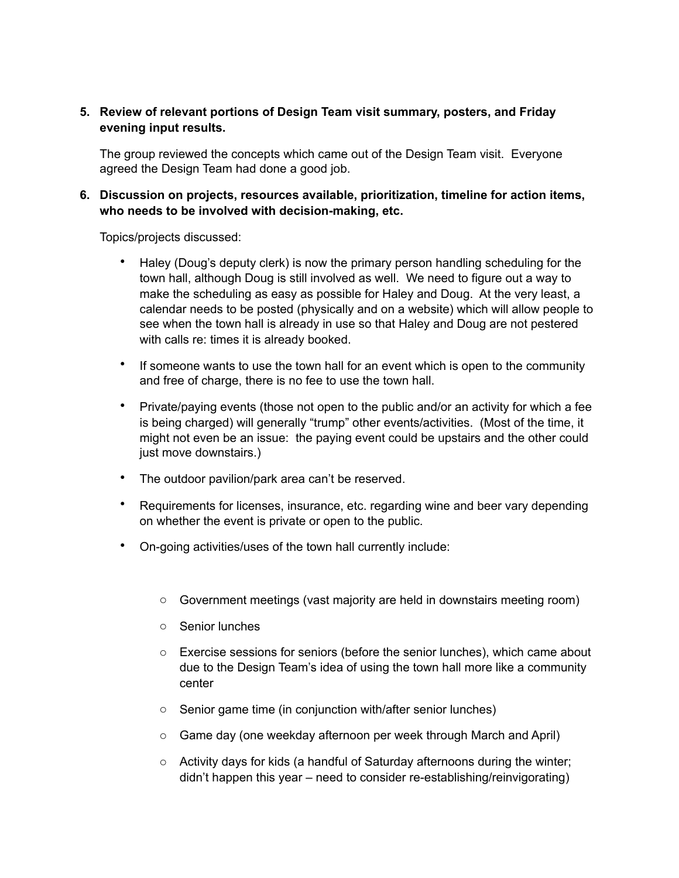# **5. Review of relevant portions of Design Team visit summary, posters, and Friday evening input results.**

The group reviewed the concepts which came out of the Design Team visit. Everyone agreed the Design Team had done a good job.

# **6. Discussion on projects, resources available, prioritization, timeline for action items, who needs to be involved with decision-making, etc.**

Topics/projects discussed:

- Haley (Doug's deputy clerk) is now the primary person handling scheduling for the town hall, although Doug is still involved as well. We need to figure out a way to make the scheduling as easy as possible for Haley and Doug. At the very least, a calendar needs to be posted (physically and on a website) which will allow people to see when the town hall is already in use so that Haley and Doug are not pestered with calls re: times it is already booked.
- If someone wants to use the town hall for an event which is open to the community and free of charge, there is no fee to use the town hall.
- Private/paying events (those not open to the public and/or an activity for which a fee is being charged) will generally "trump" other events/activities. (Most of the time, it might not even be an issue: the paying event could be upstairs and the other could just move downstairs.)
- The outdoor pavilion/park area can't be reserved.
- Requirements for licenses, insurance, etc. regarding wine and beer vary depending on whether the event is private or open to the public.
- On-going activities/uses of the town hall currently include:
	- $\circ$  Government meetings (vast majority are held in downstairs meeting room)
	- o Senior lunches
	- $\circ$  Exercise sessions for seniors (before the senior lunches), which came about due to the Design Team's idea of using the town hall more like a community center
	- o Senior game time (in conjunction with/after senior lunches)
	- o Game day (one weekday afternoon per week through March and April)
	- o Activity days for kids (a handful of Saturday afternoons during the winter; didn't happen this year – need to consider re-establishing/reinvigorating)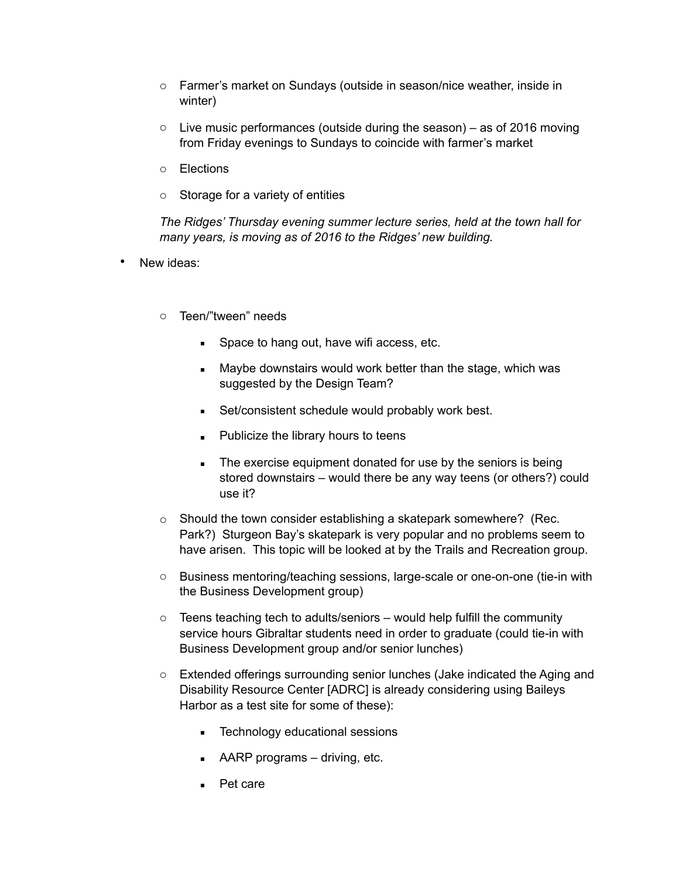- o Farmer's market on Sundays (outside in season/nice weather, inside in winter)
- $\circ$  Live music performances (outside during the season) as of 2016 moving from Friday evenings to Sundays to coincide with farmer's market
- o Elections
- o Storage for a variety of entities

*The Ridges' Thursday evening summer lecture series, held at the town hall for many years, is moving as of 2016 to the Ridges' new building.* 

- New ideas:
	- o Teen/"tween" needs
		- Space to hang out, have wifi access, etc.
		- Maybe downstairs would work better than the stage, which was suggested by the Design Team?
		- **EXECONSISTENT SCHEDUIG WOULD PROPER IN SECT 5 SET SETS**
		- **EXECUTE:** Publicize the library hours to teens
		- **EXECT:** The exercise equipment donated for use by the seniors is being stored downstairs – would there be any way teens (or others?) could use it?
	- o Should the town consider establishing a skatepark somewhere? (Rec. Park?) Sturgeon Bay's skatepark is very popular and no problems seem to have arisen. This topic will be looked at by the Trails and Recreation group.
	- o Business mentoring/teaching sessions, large-scale or one-on-one (tie-in with the Business Development group)
	- $\circ$  Teens teaching tech to adults/seniors would help fulfill the community service hours Gibraltar students need in order to graduate (could tie-in with Business Development group and/or senior lunches)
	- o Extended offerings surrounding senior lunches (Jake indicated the Aging and Disability Resource Center [ADRC] is already considering using Baileys Harbor as a test site for some of these):
		- **EXECUTED EXECUTED:** Technology educational sessions
		- $\blacksquare$  AARP programs driving, etc.
		- Pet care